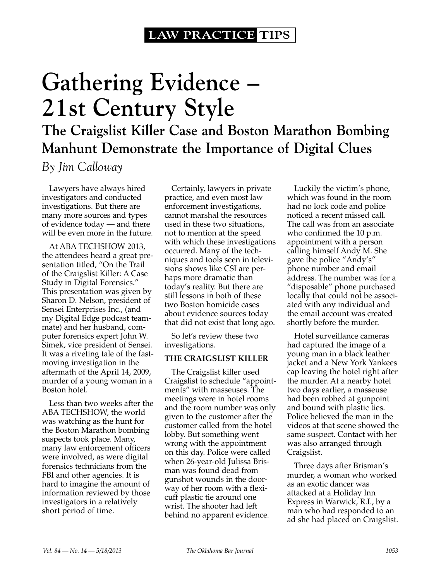# **Gathering Evidence – 21st Century Style**

**The Craigslist Killer Case and Boston Marathon Bombing Manhunt Demonstrate the Importance of Digital Clues**

*By Jim Calloway*

Lawyers have always hired investigators and conducted investigations. But there are many more sources and types of evidence today — and there will be even more in the future.

At ABA TECHSHOW 2013, the attendees heard a great presentation titled, "On the Trail of the Craigslist Killer: A Case Study in Digital Forensics." This presentation was given by Sharon D. Nelson, president of Sensei Enterprises Inc., (and my Digital Edge podcast teammate) and her husband, computer forensics expert John W. Simek, vice president of Sensei. It was a riveting tale of the fastmoving investigation in the aftermath of the April 14, 2009, murder of a young woman in a Boston hotel.

Less than two weeks after the ABA TECHSHOW, the world was watching as the hunt for the Boston Marathon bombing suspects took place. Many, many law enforcement officers were involved, as were digital forensics technicians from the FBI and other agencies. It is hard to imagine the amount of information reviewed by those investigators in a relatively short period of time.

Certainly, lawyers in private practice, and even most law enforcement investigations, cannot marshal the resources used in these two situations, not to mention at the speed with which these investigations occurred. Many of the techniques and tools seen in televisions shows like CSI are perhaps more dramatic than today's reality. But there are still lessons in both of these two Boston homicide cases about evidence sources today that did not exist that long ago.

So let's review these two investigations.

#### **THE CRAIGSLIST KILLER**

The Craigslist killer used Craigslist to schedule "appointments" with masseuses. The meetings were in hotel rooms and the room number was only given to the customer after the customer called from the hotel lobby. But something went wrong with the appointment on this day. Police were called when 26-year-old Julissa Brisman was found dead from gunshot wounds in the doorway of her room with a flexicuff plastic tie around one wrist. The shooter had left behind no apparent evidence.

Luckily the victim's phone, which was found in the room had no lock code and police noticed a recent missed call. The call was from an associate who confirmed the 10 p.m. appointment with a person calling himself Andy M. She gave the police "Andy's" phone number and email address. The number was for a "disposable" phone purchased locally that could not be associated with any individual and the email account was created shortly before the murder.

Hotel surveillance cameras had captured the image of a young man in a black leather jacket and a New York Yankees cap leaving the hotel right after the murder. At a nearby hotel two days earlier, a masseuse had been robbed at gunpoint and bound with plastic ties. Police believed the man in the videos at that scene showed the same suspect. Contact with her was also arranged through Craigslist.

Three days after Brisman's murder, a woman who worked as an exotic dancer was attacked at a Holiday Inn Express in Warwick, R.I., by a man who had responded to an ad she had placed on Craigslist.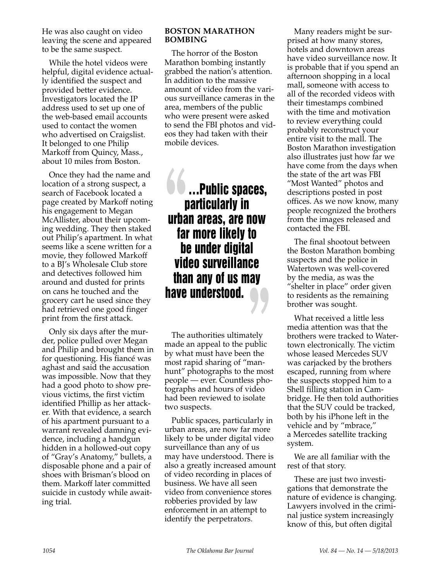He was also caught on video leaving the scene and appeared to be the same suspect.

While the hotel videos were helpful, digital evidence actually identified the suspect and provided better evidence. Investigators located the IP address used to set up one of the web-based email accounts used to contact the women who advertised on Craigslist. It belonged to one Philip Markoff from Quincy, Mass., about 10 miles from Boston.

Once they had the name and location of a strong suspect, a search of Facebook located a page created by Markoff noting his engagement to Megan McAllister, about their upcoming wedding. They then staked out Philip's apartment. In what seems like a scene written for a movie, they followed Markoff to a BJ's Wholesale Club store and detectives followed him around and dusted for prints on cans he touched and the grocery cart he used since they had retrieved one good finger print from the first attack.

Only six days after the murder, police pulled over Megan and Philip and brought them in for questioning. His fiancé was aghast and said the accusation was impossible. Now that they had a good photo to show previous victims, the first victim identified Phillip as her attacker. With that evidence, a search of his apartment pursuant to a warrant revealed damning evidence, including a handgun hidden in a hollowed-out copy of "Gray's Anatomy," bullets, a disposable phone and a pair of shoes with Brisman's blood on them. Markoff later committed suicide in custody while awaiting trial.

### **BOSTON MARATHON BOMBING**

The horror of the Boston Marathon bombing instantly grabbed the nation's attention. In addition to the massive amount of video from the various surveillance cameras in the area, members of the public who were present were asked to send the FBI photos and videos they had taken with their mobile devices.

## …Public spaces, particularly in urban areas, are now far more likely to be under digital video surveillance than any of us may have understood.

The authorities ultimately made an appeal to the public by what must have been the most rapid sharing of "manhunt" photographs to the most people — ever. Countless photographs and hours of video had been reviewed to isolate two suspects.

Public spaces, particularly in urban areas, are now far more likely to be under digital video surveillance than any of us may have understood. There is also a greatly increased amount of video recording in places of business. We have all seen video from convenience stores robberies provided by law enforcement in an attempt to identify the perpetrators.

Many readers might be surprised at how many stores, hotels and downtown areas have video surveillance now. It is probable that if you spend an afternoon shopping in a local mall, someone with access to all of the recorded videos with their timestamps combined with the time and motivation to review everything could probably reconstruct your entire visit to the mall. The Boston Marathon investigation also illustrates just how far we have come from the days when the state of the art was FBI "Most Wanted" photos and descriptions posted in post offices. As we now know, many people recognized the brothers from the images released and contacted the FBI.

The final shootout between the Boston Marathon bombing suspects and the police in Watertown was well-covered by the media, as was the "shelter in place" order given to residents as the remaining brother was sought.

What received a little less media attention was that the brothers were tracked to Watertown electronically. The victim whose leased Mercedes SUV was carjacked by the brothers escaped, running from where the suspects stopped him to a Shell filling station in Cambridge. He then told authorities that the SUV could be tracked, both by his iPhone left in the vehicle and by "mbrace," a Mercedes satellite tracking system.

We are all familiar with the rest of that story.

These are just two investigations that demonstrate the nature of evidence is changing. Lawyers involved in the criminal justice system increasingly know of this, but often digital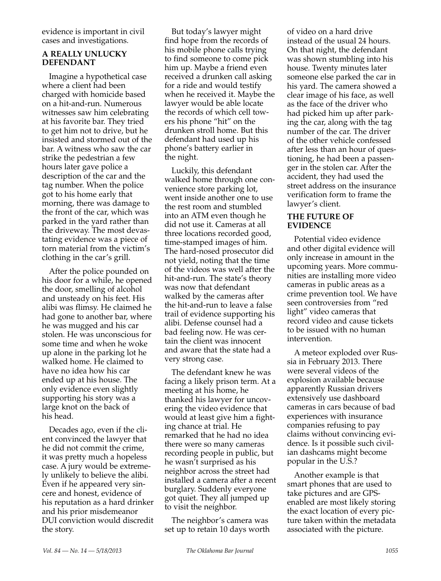evidence is important in civil cases and investigations.

### **A REALLY UNLUCKY DEFENDANT**

Imagine a hypothetical case where a client had been charged with homicide based on a hit-and-run. Numerous witnesses saw him celebrating at his favorite bar. They tried to get him not to drive, but he insisted and stormed out of the bar. A witness who saw the car strike the pedestrian a few hours later gave police a description of the car and the tag number. When the police got to his home early that morning, there was damage to the front of the car, which was parked in the yard rather than the driveway. The most devastating evidence was a piece of torn material from the victim's clothing in the car's grill.

After the police pounded on his door for a while, he opened the door, smelling of alcohol and unsteady on his feet. His alibi was flimsy. He claimed he had gone to another bar, where he was mugged and his car stolen. He was unconscious for some time and when he woke up alone in the parking lot he walked home. He claimed to have no idea how his car ended up at his house. The only evidence even slightly supporting his story was a large knot on the back of his head.

Decades ago, even if the client convinced the lawyer that he did not commit the crime, it was pretty much a hopeless case. A jury would be extremely unlikely to believe the alibi. Even if he appeared very sincere and honest, evidence of his reputation as a hard drinker and his prior misdemeanor DUI conviction would discredit the story.

But today's lawyer might find hope from the records of his mobile phone calls trying to find someone to come pick him up. Maybe a friend even received a drunken call asking for a ride and would testify when he received it. Maybe the lawyer would be able locate the records of which cell towers his phone "hit" on the drunken stroll home. But this defendant had used up his phone's battery earlier in the night.

Luckily, this defendant walked home through one convenience store parking lot, went inside another one to use the rest room and stumbled into an ATM even though he did not use it. Cameras at all three locations recorded good, time-stamped images of him. The hard-nosed prosecutor did not yield, noting that the time of the videos was well after the hit-and-run. The state's theory was now that defendant walked by the cameras after the hit-and-run to leave a false trail of evidence supporting his alibi. Defense counsel had a bad feeling now. He was certain the client was innocent and aware that the state had a very strong case.

The defendant knew he was facing a likely prison term. At a meeting at his home, he thanked his lawyer for uncovering the video evidence that would at least give him a fighting chance at trial. He remarked that he had no idea there were so many cameras recording people in public, but he wasn't surprised as his neighbor across the street had installed a camera after a recent burglary. Suddenly everyone got quiet. They all jumped up to visit the neighbor.

The neighbor's camera was set up to retain 10 days worth of video on a hard drive instead of the usual 24 hours. On that night, the defendant was shown stumbling into his house. Twenty minutes later someone else parked the car in his yard. The camera showed a clear image of his face, as well as the face of the driver who had picked him up after parking the car, along with the tag number of the car. The driver of the other vehicle confessed after less than an hour of questioning, he had been a passenger in the stolen car. After the accident, they had used the street address on the insurance verification form to frame the lawyer's client.

### **THE FUTURE OF EVIDENCE**

Potential video evidence and other digital evidence will only increase in amount in the upcoming years. More communities are installing more video cameras in public areas as a crime prevention tool. We have seen controversies from "red light" video cameras that record video and cause tickets to be issued with no human intervention.

A meteor exploded over Russia in February 2013. There were several videos of the explosion available because apparently Russian drivers extensively use dashboard cameras in cars because of bad experiences with insurance companies refusing to pay claims without convincing evidence. Is it possible such civilian dashcams might become popular in the U.S.?

Another example is that smart phones that are used to take pictures and are GPSenabled are most likely storing the exact location of every picture taken within the metadata associated with the picture.